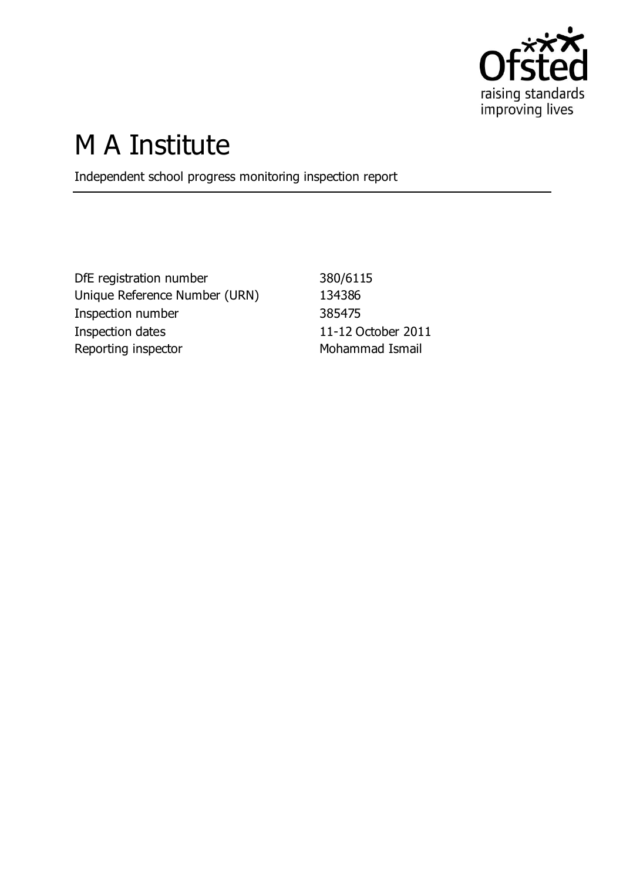

# M A Institute

Independent school progress monitoring inspection report

DfE registration number 380/6115 Unique Reference Number (URN) 134386 Inspection number 385475 Inspection dates 11-12 October 2011 Reporting inspector **Mohammad Ismail**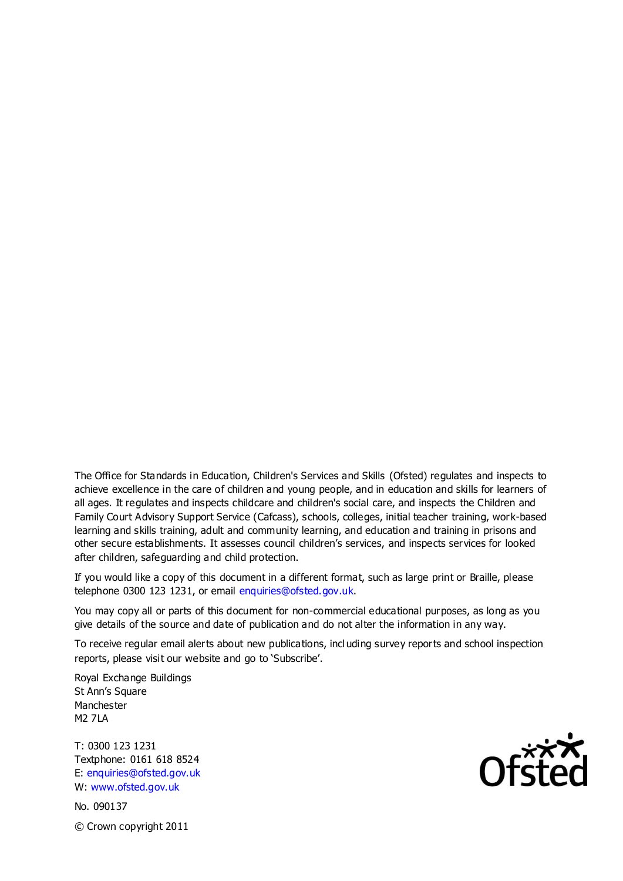The Office for Standards in Education, Children's Services and Skills (Ofsted) regulates and inspects to achieve excellence in the care of children and young people, and in education and skills for learners of all ages. It regulates and inspects childcare and children's social care, and inspects the Children and Family Court Advisory Support Service (Cafcass), schools, colleges, initial teacher training, work-based learning and skills training, adult and community learning, and education and training in prisons and other secure establishments. It assesses council children's services, and inspects services for looked after children, safeguarding and child protection.

If you would like a copy of this document in a different format, such as large print or Braille, please telephone 0300 123 1231, or email enquiries@ofsted.gov.uk.

You may copy all or parts of this document for non-commercial educational purposes, as long as you give details of the source and date of publication and do not alter the information in any way.

To receive regular email alerts about new publications, incl uding survey reports and school inspection reports, please visit our website and go to 'Subscribe'.

Royal Exchange Buildings St Ann's Square Manchester M2 7LA

T: 0300 123 1231 Textphone: 0161 618 8524 E: enquiries@ofsted.gov.uk W: www.ofsted.gov.uk

No. 090137 © Crown copyright 2011

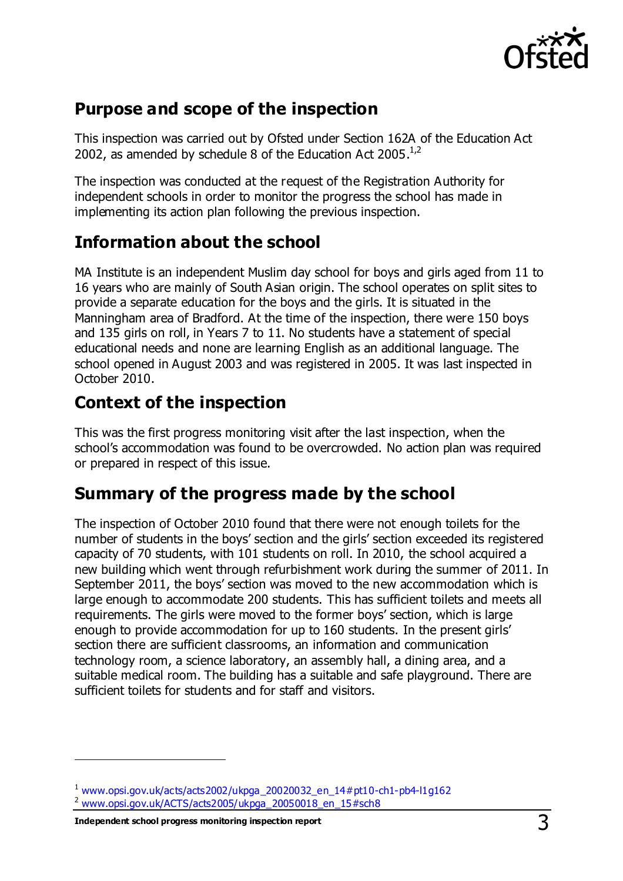

#### **Purpose and scope of the inspection**

This inspection was carried out by Ofsted under Section 162A of the Education Act 2002, as amended by schedule 8 of the Education Act 2005. $^{1,2}$ 

The inspection was conducted at the request of the Registration Authority for independent schools in order to monitor the progress the school has made in implementing its action plan following the previous inspection.

### **Information about the school**

MA Institute is an independent Muslim day school for boys and girls aged from 11 to 16 years who are mainly of South Asian origin. The school operates on split sites to provide a separate education for the boys and the girls. It is situated in the Manningham area of Bradford. At the time of the inspection, there were 150 boys and 135 girls on roll, in Years 7 to 11. No students have a statement of special educational needs and none are learning English as an additional language. The school opened in August 2003 and was registered in 2005. It was last inspected in October 2010.

## **Context of the inspection**

This was the first progress monitoring visit after the last inspection, when the school's accommodation was found to be overcrowded. No action plan was required or prepared in respect of this issue.

#### **Summary of the progress made by the school**

The inspection of October 2010 found that there were not enough toilets for the number of students in the boys' section and the girls' section exceeded its registered capacity of 70 students, with 101 students on roll. In 2010, the school acquired a new building which went through refurbishment work during the summer of 2011. In September 2011, the boys' section was moved to the new accommodation which is large enough to accommodate 200 students. This has sufficient toilets and meets all requirements. The girls were moved to the former boys' section, which is large enough to provide accommodation for up to 160 students. In the present girls' section there are sufficient classrooms, an information and communication technology room, a science laboratory, an assembly hall, a dining area, and a suitable medical room. The building has a suitable and safe playground. There are sufficient toilets for students and for staff and visitors.

 $\overline{a}$ 

 $1$  [www.opsi.gov.uk/acts/acts2002/ukpga\\_20020032\\_en\\_14#pt10-ch1-pb4-l1g162](https://www.opsi.gov.uk/acts/acts2002/ukpga_20020032_en_14%23pt10-ch1-pb4-l1g162)

<sup>2</sup> [www.opsi.gov.uk/ACTS/acts2005/ukpga\\_20050018\\_en\\_15#sch8](http://www.opsi.gov.uk/ACTS/acts2005/ukpga_20050018_en_15#sch8)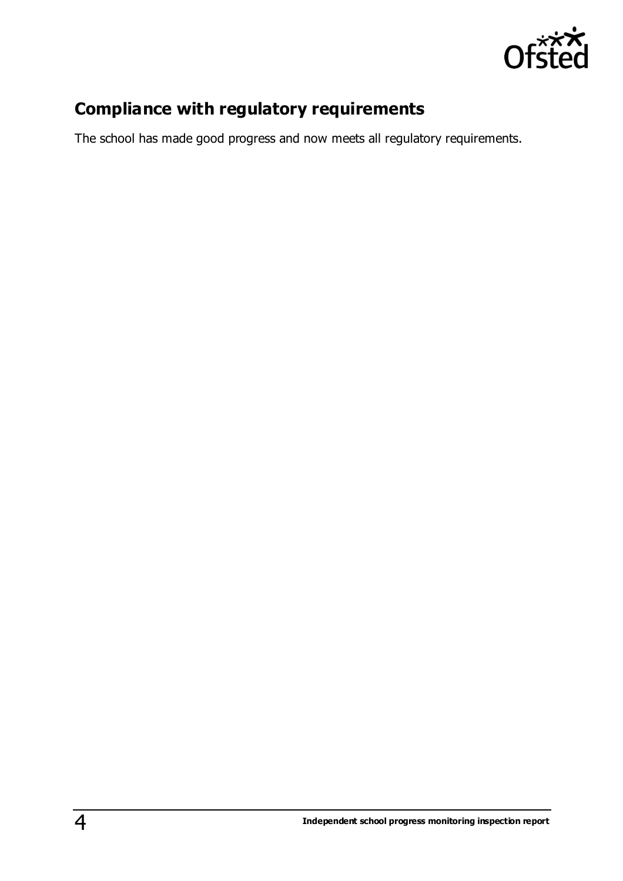

## **Compliance with regulatory requirements**

The school has made good progress and now meets all regulatory requirements.